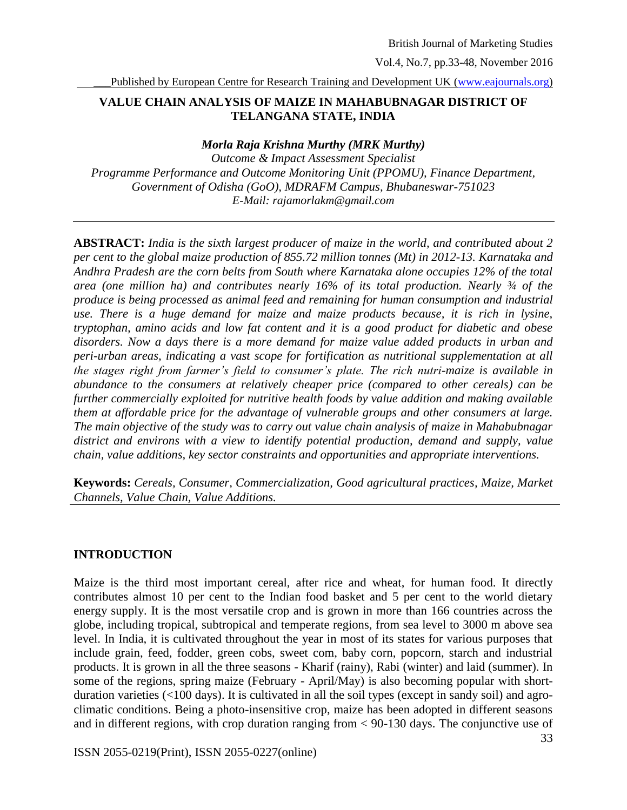Vol.4, No.7, pp.33-48, November 2016

Published by European Centre for Research Training and Development UK [\(www.eajournals.org\)](http://www.eajournals.org/)

# **VALUE CHAIN ANALYSIS OF MAIZE IN MAHABUBNAGAR DISTRICT OF TELANGANA STATE, INDIA**

#### *Morla Raja Krishna Murthy (MRK Murthy)*

*Outcome & Impact Assessment Specialist Programme Performance and Outcome Monitoring Unit (PPOMU), Finance Department, Government of Odisha (GoO), MDRAFM Campus, Bhubaneswar-751023 E-Mail: rajamorlakm@gmail.com*

**ABSTRACT:** *India is the sixth largest producer of maize in the world, and contributed about 2 per cent to the global maize production of 855.72 million tonnes (Mt) in 2012-13. Karnataka and Andhra Pradesh are the corn belts from South where Karnataka alone occupies 12% of the total area (one million ha) and contributes nearly 16% of its total production. Nearly ¾ of the produce is being processed as animal feed and remaining for human consumption and industrial use. There is a huge demand for maize and maize products because, it is rich in lysine, tryptophan, amino acids and low fat content and it is a good product for diabetic and obese disorders. Now a days there is a more demand for maize value added products in urban and peri-urban areas, indicating a vast scope for fortification as nutritional supplementation at all the stages right from farmer's field to consumer's plate. The rich nutri-maize is available in abundance to the consumers at relatively cheaper price (compared to other cereals) can be further commercially exploited for nutritive health foods by value addition and making available them at affordable price for the advantage of vulnerable groups and other consumers at large. The main objective of the study was to carry out value chain analysis of maize in Mahabubnagar district and environs with a view to identify potential production, demand and supply, value chain, value additions, key sector constraints and opportunities and appropriate interventions.*

**Keywords:** *Cereals, Consumer, Commercialization, Good agricultural practices, Maize, Market Channels, Value Chain, Value Additions.*

# **INTRODUCTION**

Maize is the third most important cereal, after rice and wheat, for human food. It directly contributes almost 10 per cent to the Indian food basket and 5 per cent to the world dietary energy supply. It is the most versatile crop and is grown in more than 166 countries across the globe, including tropical, subtropical and temperate regions, from sea level to 3000 m above sea level. In India, it is cultivated throughout the year in most of its states for various purposes that include grain, feed, fodder, green cobs, sweet com, baby corn, popcorn, starch and industrial products. It is grown in all the three seasons - Kharif (rainy), Rabi (winter) and laid (summer). In some of the regions, spring maize (February - April/May) is also becoming popular with shortduration varieties (<100 days). It is cultivated in all the soil types (except in sandy soil) and agroclimatic conditions. Being a photo-insensitive crop, maize has been adopted in different seasons and in different regions, with crop duration ranging from < 90-130 days. The conjunctive use of

ISSN 2055-0219(Print), ISSN 2055-0227(online)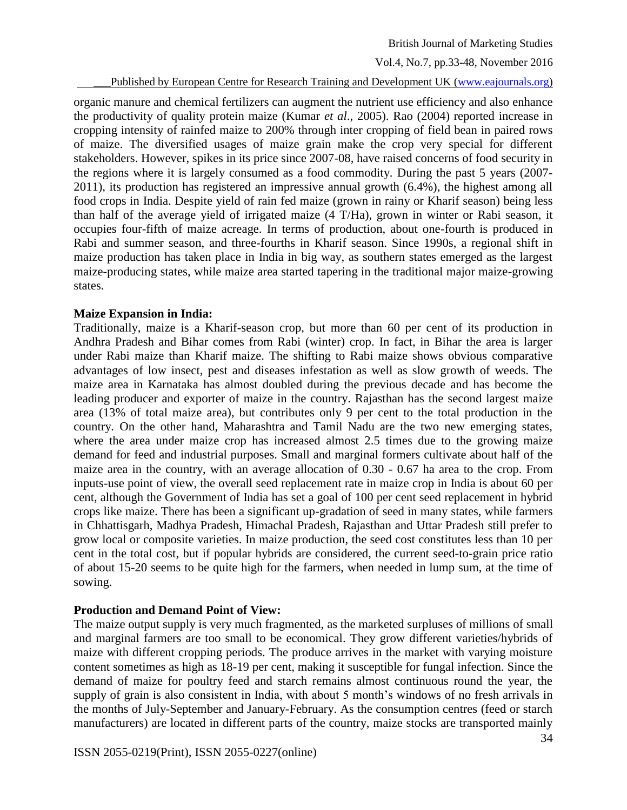Vol.4, No.7, pp.33-48, November 2016

#### Published by European Centre for Research Training and Development UK [\(www.eajournals.org\)](http://www.eajournals.org/)

organic manure and chemical fertilizers can augment the nutrient use efficiency and also enhance the productivity of quality protein maize (Kumar *et al*., 2005). Rao (2004) reported increase in cropping intensity of rainfed maize to 200% through inter cropping of field bean in paired rows of maize. The diversified usages of maize grain make the crop very special for different stakeholders. However, spikes in its price since 2007-08, have raised concerns of food security in the regions where it is largely consumed as a food commodity. During the past 5 years (2007- 2011), its production has registered an impressive annual growth (6.4%), the highest among all food crops in India. Despite yield of rain fed maize (grown in rainy or Kharif season) being less than half of the average yield of irrigated maize (4 T/Ha), grown in winter or Rabi season, it occupies four-fifth of maize acreage. In terms of production, about one-fourth is produced in Rabi and summer season, and three-fourths in Kharif season. Since 1990s, a regional shift in maize production has taken place in India in big way, as southern states emerged as the largest maize-producing states, while maize area started tapering in the traditional major maize-growing states.

#### **Maize Expansion in India:**

Traditionally, maize is a Kharif-season crop, but more than 60 per cent of its production in Andhra Pradesh and Bihar comes from Rabi (winter) crop. In fact, in Bihar the area is larger under Rabi maize than Kharif maize. The shifting to Rabi maize shows obvious comparative advantages of low insect, pest and diseases infestation as well as slow growth of weeds. The maize area in Karnataka has almost doubled during the previous decade and has become the leading producer and exporter of maize in the country. Rajasthan has the second largest maize area (13% of total maize area), but contributes only 9 per cent to the total production in the country. On the other hand, Maharashtra and Tamil Nadu are the two new emerging states, where the area under maize crop has increased almost 2.5 times due to the growing maize demand for feed and industrial purposes. Small and marginal formers cultivate about half of the maize area in the country, with an average allocation of 0.30 - 0.67 ha area to the crop. From inputs-use point of view, the overall seed replacement rate in maize crop in India is about 60 per cent, although the Government of India has set a goal of 100 per cent seed replacement in hybrid crops like maize. There has been a significant up-gradation of seed in many states, while farmers in Chhattisgarh, Madhya Pradesh, Himachal Pradesh, Rajasthan and Uttar Pradesh still prefer to grow local or composite varieties. In maize production, the seed cost constitutes less than 10 per cent in the total cost, but if popular hybrids are considered, the current seed-to-grain price ratio of about 15-20 seems to be quite high for the farmers, when needed in lump sum, at the time of sowing.

# **Production and Demand Point of View:**

The maize output supply is very much fragmented, as the marketed surpluses of millions of small and marginal farmers are too small to be economical. They grow different varieties/hybrids of maize with different cropping periods. The produce arrives in the market with varying moisture content sometimes as high as 18-19 per cent, making it susceptible for fungal infection. Since the demand of maize for poultry feed and starch remains almost continuous round the year, the supply of grain is also consistent in India, with about 5 month's windows of no fresh arrivals in the months of July-September and January-February. As the consumption centres (feed or starch manufacturers) are located in different parts of the country, maize stocks are transported mainly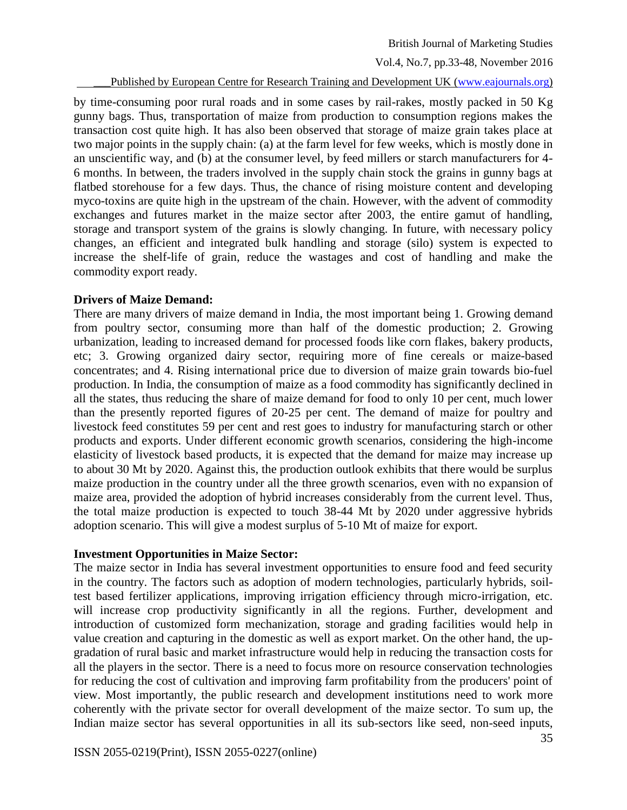Vol.4, No.7, pp.33-48, November 2016

\_\_\_Published by European Centre for Research Training and Development UK [\(www.eajournals.org\)](http://www.eajournals.org/)

by time-consuming poor rural roads and in some cases by rail-rakes, mostly packed in 50 Kg gunny bags. Thus, transportation of maize from production to consumption regions makes the transaction cost quite high. It has also been observed that storage of maize grain takes place at two major points in the supply chain: (a) at the farm level for few weeks, which is mostly done in an unscientific way, and (b) at the consumer level, by feed millers or starch manufacturers for 4- 6 months. In between, the traders involved in the supply chain stock the grains in gunny bags at flatbed storehouse for a few days. Thus, the chance of rising moisture content and developing myco-toxins are quite high in the upstream of the chain. However, with the advent of commodity exchanges and futures market in the maize sector after 2003, the entire gamut of handling, storage and transport system of the grains is slowly changing. In future, with necessary policy changes, an efficient and integrated bulk handling and storage (silo) system is expected to increase the shelf-life of grain, reduce the wastages and cost of handling and make the commodity export ready.

# **Drivers of Maize Demand:**

There are many drivers of maize demand in India, the most important being 1. Growing demand from poultry sector, consuming more than half of the domestic production; 2. Growing urbanization, leading to increased demand for processed foods like corn flakes, bakery products, etc; 3. Growing organized dairy sector, requiring more of fine cereals or maize-based concentrates; and 4. Rising international price due to diversion of maize grain towards bio-fuel production. In India, the consumption of maize as a food commodity has significantly declined in all the states, thus reducing the share of maize demand for food to only 10 per cent, much lower than the presently reported figures of 20-25 per cent. The demand of maize for poultry and livestock feed constitutes 59 per cent and rest goes to industry for manufacturing starch or other products and exports. Under different economic growth scenarios, considering the high-income elasticity of livestock based products, it is expected that the demand for maize may increase up to about 30 Mt by 2020. Against this, the production outlook exhibits that there would be surplus maize production in the country under all the three growth scenarios, even with no expansion of maize area, provided the adoption of hybrid increases considerably from the current level. Thus, the total maize production is expected to touch 38-44 Mt by 2020 under aggressive hybrids adoption scenario. This will give a modest surplus of 5-10 Mt of maize for export.

# **Investment Opportunities in Maize Sector:**

The maize sector in India has several investment opportunities to ensure food and feed security in the country. The factors such as adoption of modern technologies, particularly hybrids, soiltest based fertilizer applications, improving irrigation efficiency through micro-irrigation, etc. will increase crop productivity significantly in all the regions. Further, development and introduction of customized form mechanization, storage and grading facilities would help in value creation and capturing in the domestic as well as export market. On the other hand, the upgradation of rural basic and market infrastructure would help in reducing the transaction costs for all the players in the sector. There is a need to focus more on resource conservation technologies for reducing the cost of cultivation and improving farm profitability from the producers' point of view. Most importantly, the public research and development institutions need to work more coherently with the private sector for overall development of the maize sector. To sum up, the Indian maize sector has several opportunities in all its sub-sectors like seed, non-seed inputs,

ISSN 2055-0219(Print), ISSN 2055-0227(online)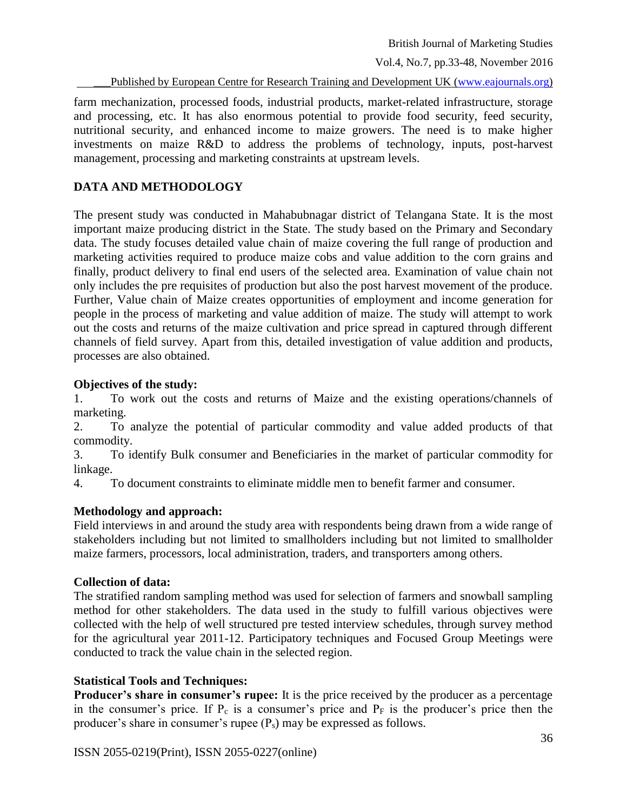Vol.4, No.7, pp.33-48, November 2016

Published by European Centre for Research Training and Development UK [\(www.eajournals.org\)](http://www.eajournals.org/)

farm mechanization, processed foods, industrial products, market-related infrastructure, storage and processing, etc. It has also enormous potential to provide food security, feed security, nutritional security, and enhanced income to maize growers. The need is to make higher investments on maize R&D to address the problems of technology, inputs, post-harvest management, processing and marketing constraints at upstream levels.

# **DATA AND METHODOLOGY**

The present study was conducted in Mahabubnagar district of Telangana State. It is the most important maize producing district in the State. The study based on the Primary and Secondary data. The study focuses detailed value chain of maize covering the full range of production and marketing activities required to produce maize cobs and value addition to the corn grains and finally, product delivery to final end users of the selected area. Examination of value chain not only includes the pre requisites of production but also the post harvest movement of the produce. Further, Value chain of Maize creates opportunities of employment and income generation for people in the process of marketing and value addition of maize. The study will attempt to work out the costs and returns of the maize cultivation and price spread in captured through different channels of field survey. Apart from this, detailed investigation of value addition and products, processes are also obtained.

# **Objectives of the study:**

1. To work out the costs and returns of Maize and the existing operations/channels of marketing.

2. To analyze the potential of particular commodity and value added products of that commodity.

3. To identify Bulk consumer and Beneficiaries in the market of particular commodity for linkage.

4. To document constraints to eliminate middle men to benefit farmer and consumer.

# **Methodology and approach:**

Field interviews in and around the study area with respondents being drawn from a wide range of stakeholders including but not limited to smallholders including but not limited to smallholder maize farmers, processors, local administration, traders, and transporters among others.

# **Collection of data:**

The stratified random sampling method was used for selection of farmers and snowball sampling method for other stakeholders. The data used in the study to fulfill various objectives were collected with the help of well structured pre tested interview schedules, through survey method for the agricultural year 2011-12. Participatory techniques and Focused Group Meetings were conducted to track the value chain in the selected region.

# **Statistical Tools and Techniques:**

**Producer's share in consumer's rupee:** It is the price received by the producer as a percentage in the consumer's price. If  $P_c$  is a consumer's price and  $P_F$  is the producer's price then the producer's share in consumer's rupee (Ps) may be expressed as follows.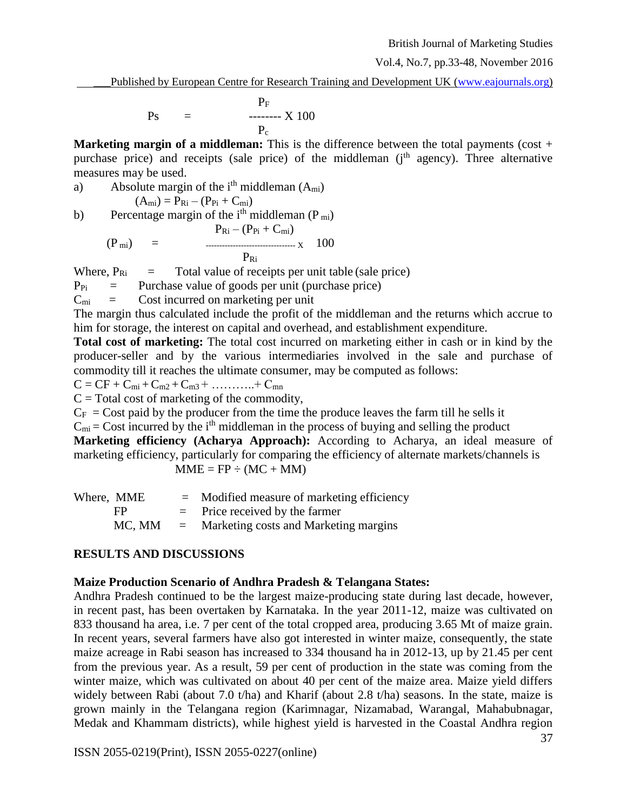\_\_\_Published by European Centre for Research Training and Development UK [\(www.eajournals.org\)](http://www.eajournals.org/)

$$
Ps = \frac{P_F}{P_c}
$$

**Marketing margin of a middleman:** This is the difference between the total payments (cost + purchase price) and receipts (sale price) of the middleman  $(i<sup>th</sup>$  agency). Three alternative measures may be used.

a) Absolute margin of the 
$$
i^{th}
$$
 middleman  $(A_{mi})$ 

$$
(A_{mi})=P_{Ri}-(P_{Pi}+C_{mi})
$$

b) Percentage margin of the i<sup>th</sup> middleman  $(P_{mi})$  $P_{\text{eff}}$  ( $P_{\text{eff}}$  +  $C_{\text{eff}}$ )

$$
(P_{\text{mi}}) = \frac{P_{\text{Ri}} - (P_{\text{Pi}} + C_{\text{mi}})}{P_{\text{Ri}}} \times 100
$$

Where,  $P_{\text{Ri}} =$  Total value of receipts per unit table (sale price)

 $P_{\text{Pi}}$  = Purchase value of goods per unit (purchase price)

 $C_{mi}$  = Cost incurred on marketing per unit

The margin thus calculated include the profit of the middleman and the returns which accrue to him for storage, the interest on capital and overhead, and establishment expenditure.

**Total cost of marketing:** The total cost incurred on marketing either in cash or in kind by the producer-seller and by the various intermediaries involved in the sale and purchase of commodity till it reaches the ultimate consumer, may be computed as follows:

$$
C = CF + C_{mi} + C_{m2} + C_{m3} + \ldots + C_{mn}
$$

 $C = Total cost of marketing of the commodity,$ 

 $C_F$  = Cost paid by the producer from the time the produce leaves the farm till he sells it  $C_{mi}$  = Cost incurred by the i<sup>th</sup> middleman in the process of buying and selling the product **Marketing efficiency (Acharya Approach):** According to Acharya, an ideal measure of marketing efficiency, particularly for comparing the efficiency of alternate markets/channels is  $MME = FP \div (MC + MM)$ 

 $W<sub>horo</sub>$  MME  $=$  Modified measure of marketing efficiency

| Where, MME | $=$ Modified measure of marketing efficiency |
|------------|----------------------------------------------|
| FP         | $=$ Price received by the farmer             |
| MC, MM     | $=$ Marketing costs and Marketing margins    |

# **RESULTS AND DISCUSSIONS**

# **Maize Production Scenario of Andhra Pradesh & Telangana States:**

Andhra Pradesh continued to be the largest maize-producing state during last decade, however, in recent past, has been overtaken by Karnataka. In the year 2011-12, maize was cultivated on 833 thousand ha area, i.e. 7 per cent of the total cropped area, producing 3.65 Mt of maize grain. In recent years, several farmers have also got interested in winter maize, consequently, the state maize acreage in Rabi season has increased to 334 thousand ha in 2012-13, up by 21.45 per cent from the previous year. As a result, 59 per cent of production in the state was coming from the winter maize, which was cultivated on about 40 per cent of the maize area. Maize yield differs widely between Rabi (about 7.0 t/ha) and Kharif (about 2.8 t/ha) seasons. In the state, maize is grown mainly in the Telangana region (Karimnagar, Nizamabad, Warangal, Mahabubnagar, Medak and Khammam districts), while highest yield is harvested in the Coastal Andhra region

ISSN 2055-0219(Print), ISSN 2055-0227(online)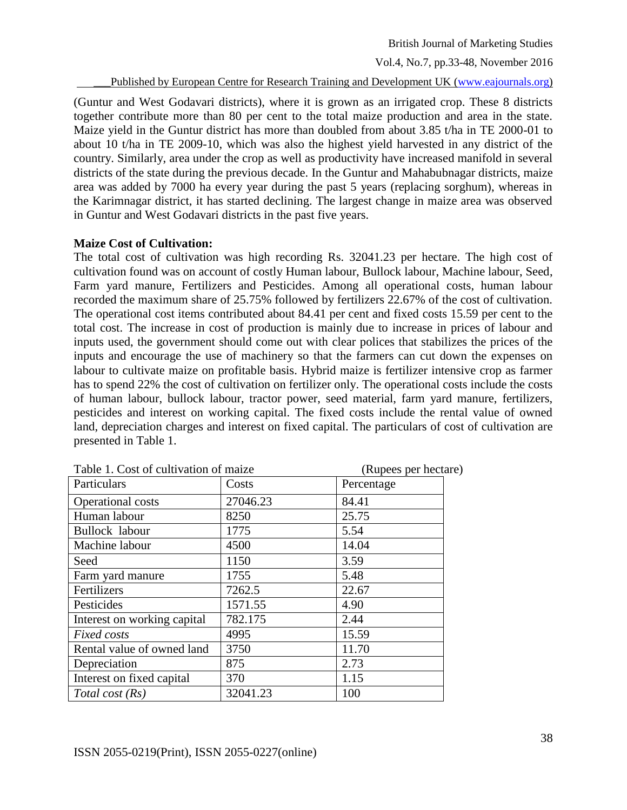Vol.4, No.7, pp.33-48, November 2016

Published by European Centre for Research Training and Development UK [\(www.eajournals.org\)](http://www.eajournals.org/)

(Guntur and West Godavari districts), where it is grown as an irrigated crop. These 8 districts together contribute more than 80 per cent to the total maize production and area in the state. Maize yield in the Guntur district has more than doubled from about 3.85 t/ha in TE 2000-01 to about 10 t/ha in TE 2009-10, which was also the highest yield harvested in any district of the country. Similarly, area under the crop as well as productivity have increased manifold in several districts of the state during the previous decade. In the Guntur and Mahabubnagar districts, maize area was added by 7000 ha every year during the past 5 years (replacing sorghum), whereas in the Karimnagar district, it has started declining. The largest change in maize area was observed in Guntur and West Godavari districts in the past five years.

#### **Maize Cost of Cultivation:**

The total cost of cultivation was high recording Rs. 32041.23 per hectare. The high cost of cultivation found was on account of costly Human labour, Bullock labour, Machine labour, Seed, Farm yard manure, Fertilizers and Pesticides. Among all operational costs, human labour recorded the maximum share of 25.75% followed by fertilizers 22.67% of the cost of cultivation. The operational cost items contributed about 84.41 per cent and fixed costs 15.59 per cent to the total cost. The increase in cost of production is mainly due to increase in prices of labour and inputs used, the government should come out with clear polices that stabilizes the prices of the inputs and encourage the use of machinery so that the farmers can cut down the expenses on labour to cultivate maize on profitable basis. Hybrid maize is fertilizer intensive crop as farmer has to spend 22% the cost of cultivation on fertilizer only. The operational costs include the costs of human labour, bullock labour, tractor power, seed material, farm yard manure, fertilizers, pesticides and interest on working capital. The fixed costs include the rental value of owned land, depreciation charges and interest on fixed capital. The particulars of cost of cultivation are presented in Table 1.

| Table 1. Cost of cultivation of maize | (Rupees per hectare) |            |
|---------------------------------------|----------------------|------------|
| Particulars                           | Costs                | Percentage |
| Operational costs                     | 27046.23             | 84.41      |
| Human labour                          | 8250                 | 25.75      |
| Bullock labour                        | 1775                 | 5.54       |
| Machine labour                        | 4500                 | 14.04      |
| Seed                                  | 1150                 | 3.59       |
| Farm yard manure                      | 1755                 | 5.48       |
| Fertilizers                           | 7262.5               | 22.67      |
| Pesticides                            | 1571.55              | 4.90       |
| Interest on working capital           | 782.175              | 2.44       |
| Fixed costs                           | 4995                 | 15.59      |
| Rental value of owned land            | 3750                 | 11.70      |
| Depreciation                          | 875                  | 2.73       |
| Interest on fixed capital             | 370                  | 1.15       |
| Total cost (Rs)                       | 32041.23             | 100        |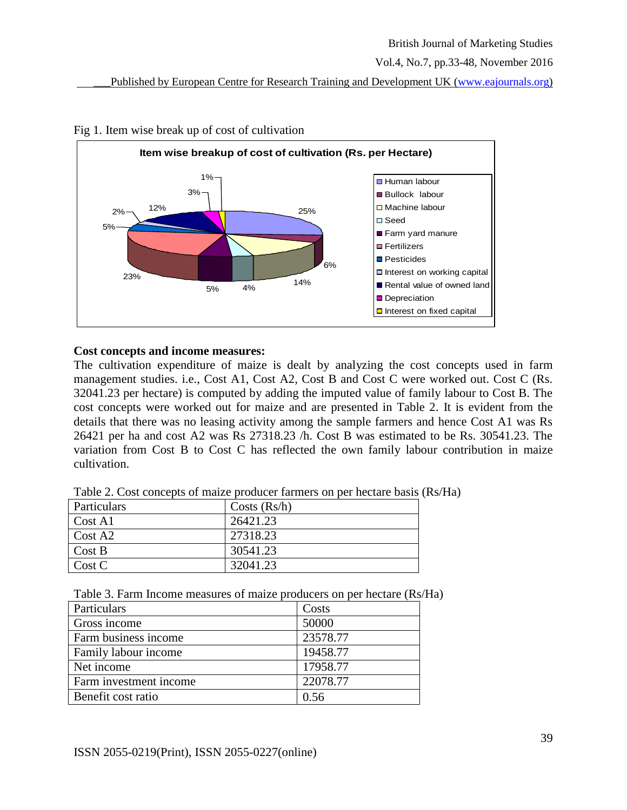



#### Fig 1. Item wise break up of cost of cultivation

#### **Cost concepts and income measures:**

The cultivation expenditure of maize is dealt by analyzing the cost concepts used in farm management studies. i.e., Cost A1, Cost A2, Cost B and Cost C were worked out. Cost C (Rs. 32041.23 per hectare) is computed by adding the imputed value of family labour to Cost B. The cost concepts were worked out for maize and are presented in Table 2. It is evident from the details that there was no leasing activity among the sample farmers and hence Cost A1 was Rs 26421 per ha and cost A2 was Rs 27318.23 /h. Cost B was estimated to be Rs. 30541.23. The variation from Cost B to Cost C has reflected the own family labour contribution in maize cultivation.

| Table 2. Cost concepts of maize producer farmers on per hectare basis (Rs/Ha) |  |  |
|-------------------------------------------------------------------------------|--|--|
|-------------------------------------------------------------------------------|--|--|

| Particulars         | Costs (Rs/h) |
|---------------------|--------------|
| Cost A1             | 26421.23     |
| Cost A <sub>2</sub> | 27318.23     |
| Cost B              | 30541.23     |
| Cost C              | 32041.23     |

| Table 3. Farm Income measures of maize producers on per hectare (Rs/Ha) |  |  |  |  |  |  |  |
|-------------------------------------------------------------------------|--|--|--|--|--|--|--|
|-------------------------------------------------------------------------|--|--|--|--|--|--|--|

| Particulars            | Costs    |
|------------------------|----------|
| Gross income           | 50000    |
| Farm business income   | 23578.77 |
| Family labour income   | 19458.77 |
| Net income             | 17958.77 |
| Farm investment income | 22078.77 |
| Benefit cost ratio     | 0.56     |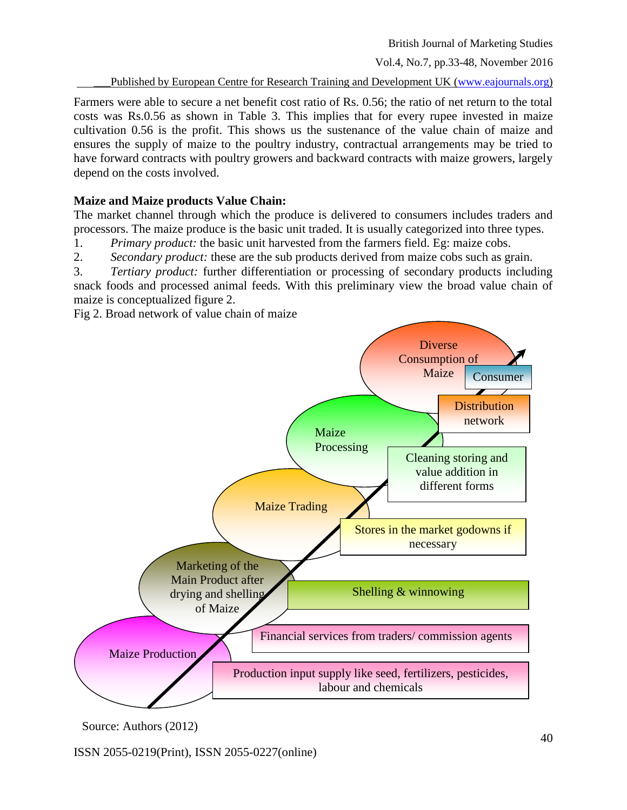Vol.4, No.7, pp.33-48, November 2016

\_\_\_Published by European Centre for Research Training and Development UK [\(www.eajournals.org\)](http://www.eajournals.org/)

Farmers were able to secure a net benefit cost ratio of Rs. 0.56; the ratio of net return to the total costs was Rs.0.56 as shown in Table 3. This implies that for every rupee invested in maize cultivation 0.56 is the profit. This shows us the sustenance of the value chain of maize and ensures the supply of maize to the poultry industry, contractual arrangements may be tried to have forward contracts with poultry growers and backward contracts with maize growers, largely depend on the costs involved.

# **Maize and Maize products Value Chain:**

The market channel through which the produce is delivered to consumers includes traders and processors. The maize produce is the basic unit traded. It is usually categorized into three types.

- 1. *Primary product:* the basic unit harvested from the farmers field. Eg: maize cobs.
- 2. *Secondary product:* these are the sub products derived from maize cobs such as grain.

3. *Tertiary product:* further differentiation or processing of secondary products including snack foods and processed animal feeds. With this preliminary view the broad value chain of maize is conceptualized figure 2.

Fig 2. Broad network of value chain of maize



Source: Authors (2012)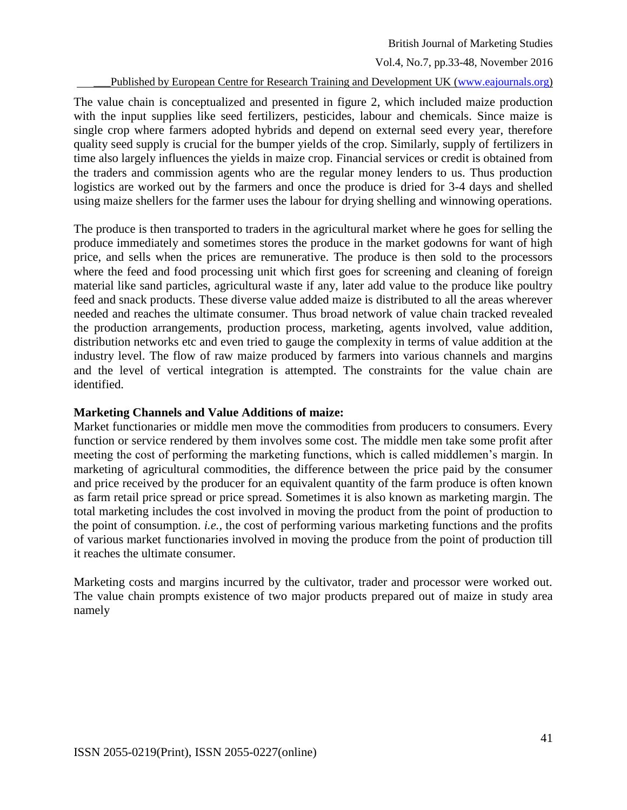Vol.4, No.7, pp.33-48, November 2016

Published by European Centre for Research Training and Development UK [\(www.eajournals.org\)](http://www.eajournals.org/)

The value chain is conceptualized and presented in figure 2, which included maize production with the input supplies like seed fertilizers, pesticides, labour and chemicals. Since maize is single crop where farmers adopted hybrids and depend on external seed every year, therefore quality seed supply is crucial for the bumper yields of the crop. Similarly, supply of fertilizers in time also largely influences the yields in maize crop. Financial services or credit is obtained from the traders and commission agents who are the regular money lenders to us. Thus production logistics are worked out by the farmers and once the produce is dried for 3-4 days and shelled using maize shellers for the farmer uses the labour for drying shelling and winnowing operations.

The produce is then transported to traders in the agricultural market where he goes for selling the produce immediately and sometimes stores the produce in the market godowns for want of high price, and sells when the prices are remunerative. The produce is then sold to the processors where the feed and food processing unit which first goes for screening and cleaning of foreign material like sand particles, agricultural waste if any, later add value to the produce like poultry feed and snack products. These diverse value added maize is distributed to all the areas wherever needed and reaches the ultimate consumer. Thus broad network of value chain tracked revealed the production arrangements, production process, marketing, agents involved, value addition, distribution networks etc and even tried to gauge the complexity in terms of value addition at the industry level. The flow of raw maize produced by farmers into various channels and margins and the level of vertical integration is attempted. The constraints for the value chain are identified.

# **Marketing Channels and Value Additions of maize:**

Market functionaries or middle men move the commodities from producers to consumers. Every function or service rendered by them involves some cost. The middle men take some profit after meeting the cost of performing the marketing functions, which is called middlemen's margin. In marketing of agricultural commodities, the difference between the price paid by the consumer and price received by the producer for an equivalent quantity of the farm produce is often known as farm retail price spread or price spread. Sometimes it is also known as marketing margin. The total marketing includes the cost involved in moving the product from the point of production to the point of consumption. *i.e.,* the cost of performing various marketing functions and the profits of various market functionaries involved in moving the produce from the point of production till it reaches the ultimate consumer.

Marketing costs and margins incurred by the cultivator, trader and processor were worked out. The value chain prompts existence of two major products prepared out of maize in study area namely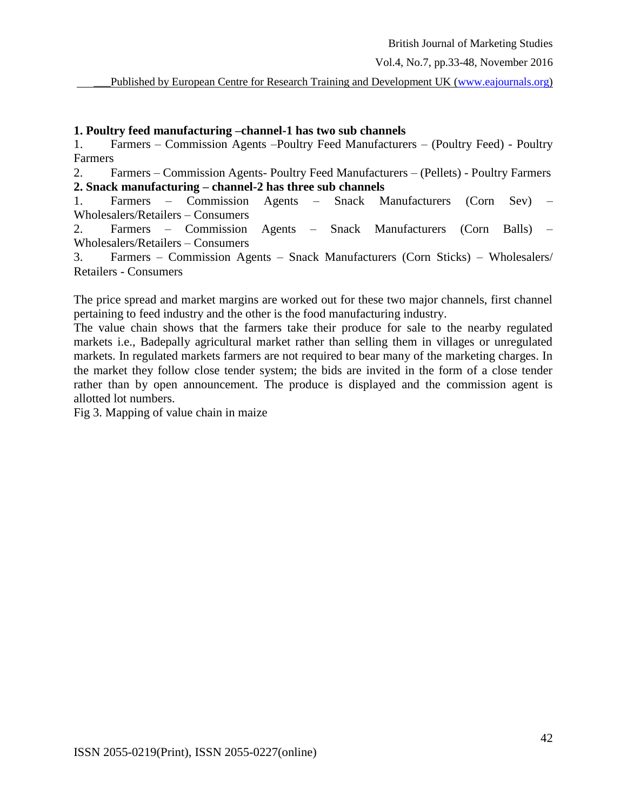#### **1. Poultry feed manufacturing –channel-1 has two sub channels**

1. Farmers – Commission Agents –Poultry Feed Manufacturers – (Poultry Feed) - Poultry Farmers

2. Farmers – Commission Agents- Poultry Feed Manufacturers – (Pellets) - Poultry Farmers **2. Snack manufacturing – channel-2 has three sub channels**

1. Farmers – Commission Agents – Snack Manufacturers (Corn Sev) – Wholesalers/Retailers – Consumers

2. Farmers – Commission Agents – Snack Manufacturers (Corn Balls) – Wholesalers/Retailers – Consumers

3. Farmers – Commission Agents – Snack Manufacturers (Corn Sticks) – Wholesalers/ Retailers - Consumers

The price spread and market margins are worked out for these two major channels, first channel pertaining to feed industry and the other is the food manufacturing industry.

The value chain shows that the farmers take their produce for sale to the nearby regulated markets i.e., Badepally agricultural market rather than selling them in villages or unregulated markets. In regulated markets farmers are not required to bear many of the marketing charges. In the market they follow close tender system; the bids are invited in the form of a close tender rather than by open announcement. The produce is displayed and the commission agent is allotted lot numbers.

Fig 3. Mapping of value chain in maize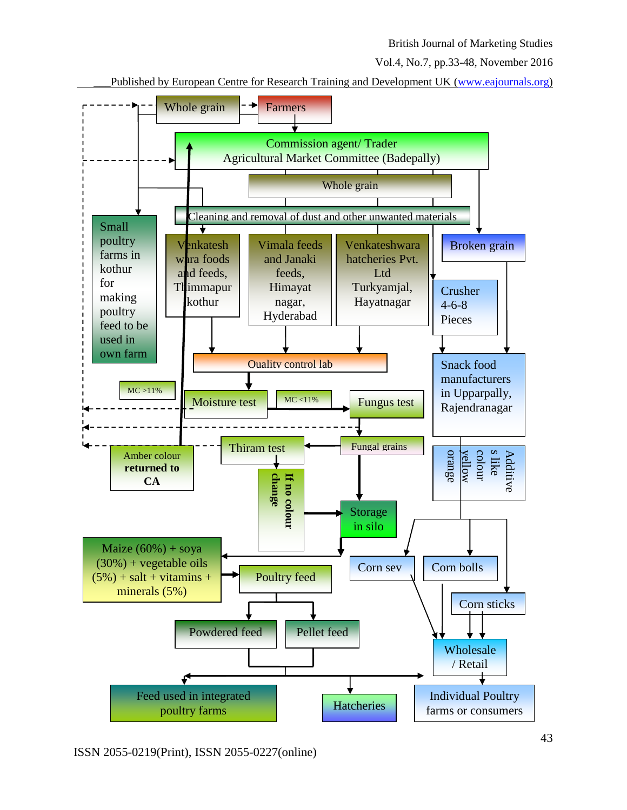Vol.4, No.7, pp.33-48, November 2016

Published by European Centre for Research Training and Development UK [\(www.eajournals.org\)](http://www.eajournals.org/)

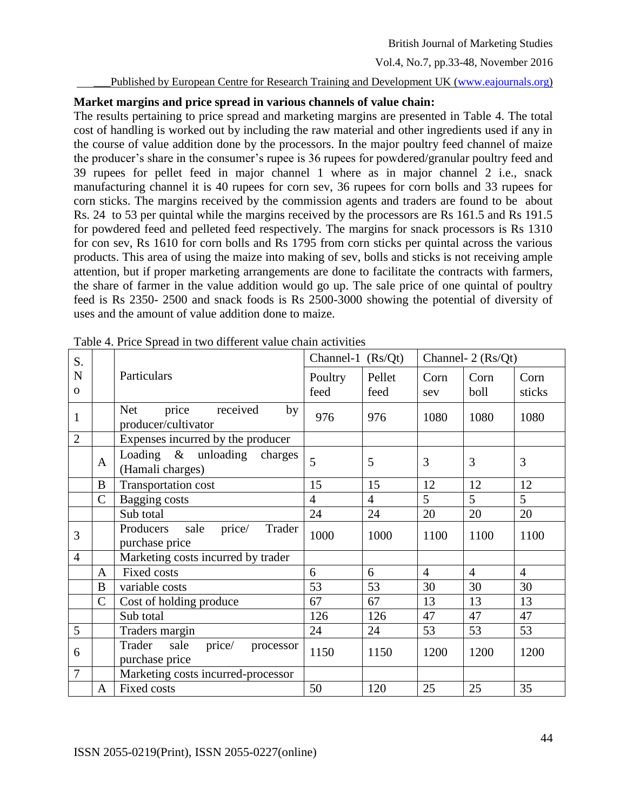#### Published by European Centre for Research Training and Development UK [\(www.eajournals.org\)](http://www.eajournals.org/)

# **Market margins and price spread in various channels of value chain:**

The results pertaining to price spread and marketing margins are presented in Table 4. The total cost of handling is worked out by including the raw material and other ingredients used if any in the course of value addition done by the processors. In the major poultry feed channel of maize the producer's share in the consumer's rupee is 36 rupees for powdered/granular poultry feed and 39 rupees for pellet feed in major channel 1 where as in major channel 2 i.e., snack manufacturing channel it is 40 rupees for corn sev, 36 rupees for corn bolls and 33 rupees for corn sticks. The margins received by the commission agents and traders are found to be about Rs. 24 to 53 per quintal while the margins received by the processors are Rs 161.5 and Rs 191.5 for powdered feed and pelleted feed respectively. The margins for snack processors is Rs 1310 for con sev, Rs 1610 for corn bolls and Rs 1795 from corn sticks per quintal across the various products. This area of using the maize into making of sev, bolls and sticks is not receiving ample attention, but if proper marketing arrangements are done to facilitate the contracts with farmers, the share of farmer in the value addition would go up. The sale price of one quintal of poultry feed is Rs 2350- 2500 and snack foods is Rs 2500-3000 showing the potential of diversity of uses and the amount of value addition done to maize.

| S.             |                |                                                              | Channel-1 $(Rs/Qt)$ |                |                | Channel- 2 (Rs/Qt) |                |
|----------------|----------------|--------------------------------------------------------------|---------------------|----------------|----------------|--------------------|----------------|
| N<br>$\Omega$  |                | Particulars                                                  | Poultry<br>feed     | Pellet<br>feed | Corn<br>sev    | Corn<br>boll       | Corn<br>sticks |
| 1              |                | price<br>received<br><b>Net</b><br>by<br>producer/cultivator | 976                 | 976            | 1080           | 1080               | 1080           |
| $\overline{2}$ |                | Expenses incurred by the producer                            |                     |                |                |                    |                |
|                | A              | Loading $\&$ unloading<br>charges<br>(Hamali charges)        | 5                   | 5              | 3              | 3                  | 3              |
|                | B              | Transportation cost                                          | 15                  | 15             | 12             | 12                 | 12             |
|                | $\overline{C}$ | Bagging costs                                                | 4                   | $\overline{4}$ | 5              | 5                  | 5              |
|                |                | Sub total                                                    | 24                  | 24             | 20             | 20                 | 20             |
| 3              |                | price/<br>Producers<br>sale<br>Trader<br>purchase price      | 1000                | 1000           | 1100           | 1100               | 1100           |
| $\overline{4}$ |                | Marketing costs incurred by trader                           |                     |                |                |                    |                |
|                | $\mathbf{A}$   | <b>Fixed costs</b>                                           | 6                   | 6              | $\overline{4}$ | $\overline{4}$     | $\overline{4}$ |
|                | B              | variable costs                                               | 53                  | 53             | 30             | 30                 | 30             |
|                | $\overline{C}$ | Cost of holding produce                                      | 67                  | 67             | 13             | 13                 | 13             |
|                |                | Sub total                                                    | 126                 | 126            | 47             | 47                 | 47             |
| 5              |                | Traders margin                                               | 24                  | 24             | 53             | 53                 | 53             |
| 6              |                | price/<br>Trader<br>sale<br>processor<br>purchase price      | 1150                | 1150           | 1200           | 1200               | 1200           |
| $\overline{7}$ |                | Marketing costs incurred-processor                           |                     |                |                |                    |                |
|                | $\overline{A}$ | <b>Fixed costs</b>                                           | 50                  | 120            | 25             | 25                 | 35             |

Table 4. Price Spread in two different value chain activities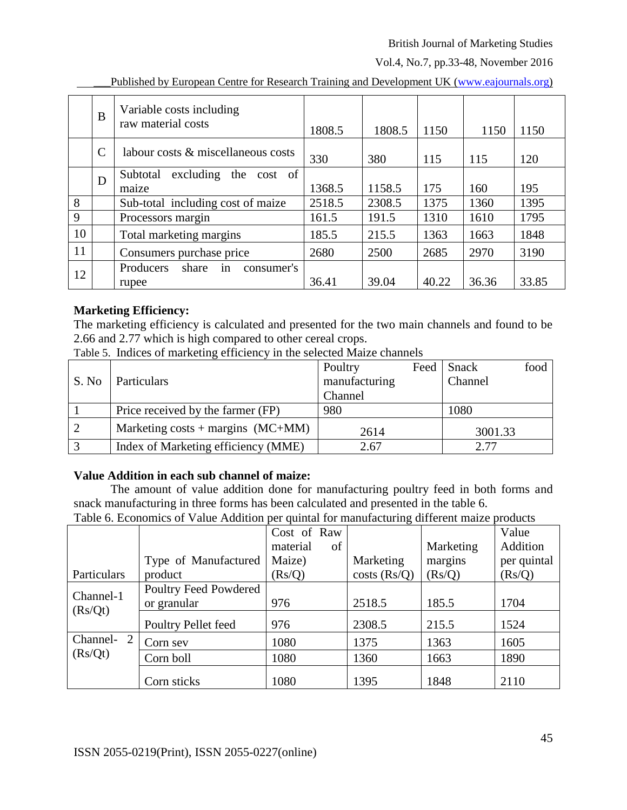Vol.4, No.7, pp.33-48, November 2016

|    | B             | Variable costs including<br>raw material costs  | 1808.5 | 1808.5 | 1150  | 1150  | 1150  |
|----|---------------|-------------------------------------------------|--------|--------|-------|-------|-------|
|    | $\mathcal{C}$ | labour costs & miscellaneous costs              | 330    | 380    | 115   | 115   | 120   |
|    | D             | excluding<br>the cost of<br>Subtotal<br>maize   | 1368.5 | 1158.5 | 175   | 160   | 195   |
| 8  |               | Sub-total including cost of maize               | 2518.5 | 2308.5 | 1375  | 1360  | 1395  |
| 9  |               | Processors margin                               | 161.5  | 191.5  | 1310  | 1610  | 1795  |
| 10 |               | Total marketing margins                         | 185.5  | 215.5  | 1363  | 1663  | 1848  |
| 11 |               | Consumers purchase price                        | 2680   | 2500   | 2685  | 2970  | 3190  |
| 12 |               | Producers<br>share<br>consumer's<br>in<br>rupee | 36.41  | 39.04  | 40.22 | 36.36 | 33.85 |

Published by European Centre for Research Training and Development UK [\(www.eajournals.org\)](http://www.eajournals.org/)

# **Marketing Efficiency:**

The marketing efficiency is calculated and presented for the two main channels and found to be 2.66 and 2.77 which is high compared to other cereal crops.

Table 5. Indices of marketing efficiency in the selected Maize channels

|       |                                     | Poultry       | Feed    | Snack   | food |
|-------|-------------------------------------|---------------|---------|---------|------|
| S. No | Particulars                         | manufacturing | Channel |         |      |
|       |                                     | Channel       |         |         |      |
|       | Price received by the farmer (FP)   | 980           |         | 1080    |      |
|       | Marketing costs + margins $(MC+MM)$ | 2614          |         | 3001.33 |      |
|       | Index of Marketing efficiency (MME) | 2.67          |         | 2.77    |      |

# **Value Addition in each sub channel of maize:**

The amount of value addition done for manufacturing poultry feed in both forms and snack manufacturing in three forms has been calculated and presented in the table 6.

|               |                                      | Cost of Raw |    |              |           | Value       |
|---------------|--------------------------------------|-------------|----|--------------|-----------|-------------|
|               |                                      | material    | of |              | Marketing | Addition    |
|               | Type of Manufactured                 | Maize)      |    | Marketing    | margins   | per quintal |
| Particulars   | product                              | (Rs/Q)      |    | costs (Rs/Q) | (Rs/Q)    | (Rs/Q)      |
| Channel-1     | Poultry Feed Powdered<br>or granular | 976         |    | 2518.5       | 185.5     | 1704        |
| (Rs/Qt)       | Poultry Pellet feed                  | 976         |    | 2308.5       | 215.5     | 1524        |
| Channel-<br>2 | Corn sev                             | 1080        |    | 1375         | 1363      | 1605        |
| (Rs/Qt)       | Corn boll                            | 1080        |    | 1360         | 1663      | 1890        |
|               | Corn sticks                          | 1080        |    | 1395         | 1848      | 2110        |

Table 6. Economics of Value Addition per quintal for manufacturing different maize products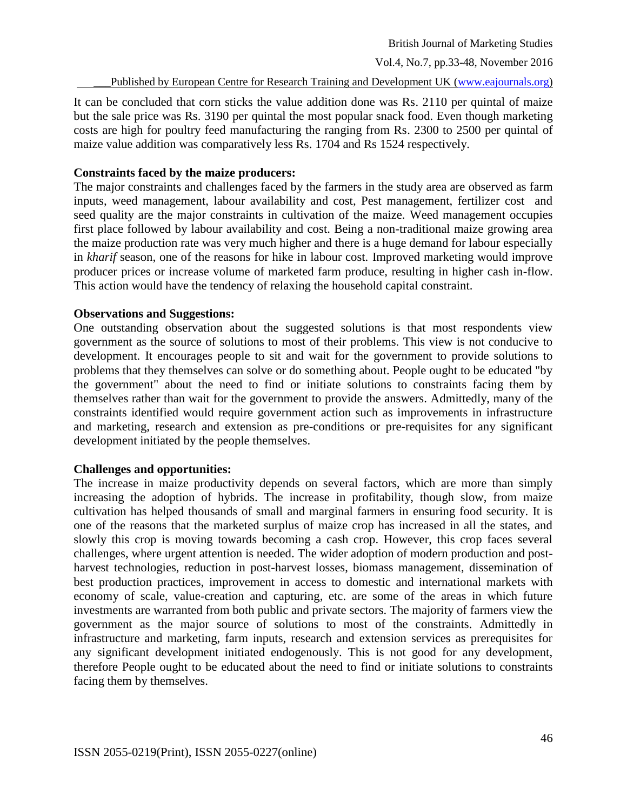Vol.4, No.7, pp.33-48, November 2016

Published by European Centre for Research Training and Development UK [\(www.eajournals.org\)](http://www.eajournals.org/)

It can be concluded that corn sticks the value addition done was Rs. 2110 per quintal of maize but the sale price was Rs. 3190 per quintal the most popular snack food. Even though marketing costs are high for poultry feed manufacturing the ranging from Rs. 2300 to 2500 per quintal of maize value addition was comparatively less Rs. 1704 and Rs 1524 respectively.

#### **Constraints faced by the maize producers:**

The major constraints and challenges faced by the farmers in the study area are observed as farm inputs, weed management, labour availability and cost, Pest management, fertilizer cost and seed quality are the major constraints in cultivation of the maize. Weed management occupies first place followed by labour availability and cost. Being a non-traditional maize growing area the maize production rate was very much higher and there is a huge demand for labour especially in *kharif* season, one of the reasons for hike in labour cost. Improved marketing would improve producer prices or increase volume of marketed farm produce, resulting in higher cash in-flow. This action would have the tendency of relaxing the household capital constraint.

#### **Observations and Suggestions:**

One outstanding observation about the suggested solutions is that most respondents view government as the source of solutions to most of their problems. This view is not conducive to development. It encourages people to sit and wait for the government to provide solutions to problems that they themselves can solve or do something about. People ought to be educated "by the government" about the need to find or initiate solutions to constraints facing them by themselves rather than wait for the government to provide the answers. Admittedly, many of the constraints identified would require government action such as improvements in infrastructure and marketing, research and extension as pre-conditions or pre-requisites for any significant development initiated by the people themselves.

# **Challenges and opportunities:**

The increase in maize productivity depends on several factors, which are more than simply increasing the adoption of hybrids. The increase in profitability, though slow, from maize cultivation has helped thousands of small and marginal farmers in ensuring food security. It is one of the reasons that the marketed surplus of maize crop has increased in all the states, and slowly this crop is moving towards becoming a cash crop. However, this crop faces several challenges, where urgent attention is needed. The wider adoption of modern production and postharvest technologies, reduction in post-harvest losses, biomass management, dissemination of best production practices, improvement in access to domestic and international markets with economy of scale, value-creation and capturing, etc. are some of the areas in which future investments are warranted from both public and private sectors. The majority of farmers view the government as the major source of solutions to most of the constraints. Admittedly in infrastructure and marketing, farm inputs, research and extension services as prerequisites for any significant development initiated endogenously. This is not good for any development, therefore People ought to be educated about the need to find or initiate solutions to constraints facing them by themselves.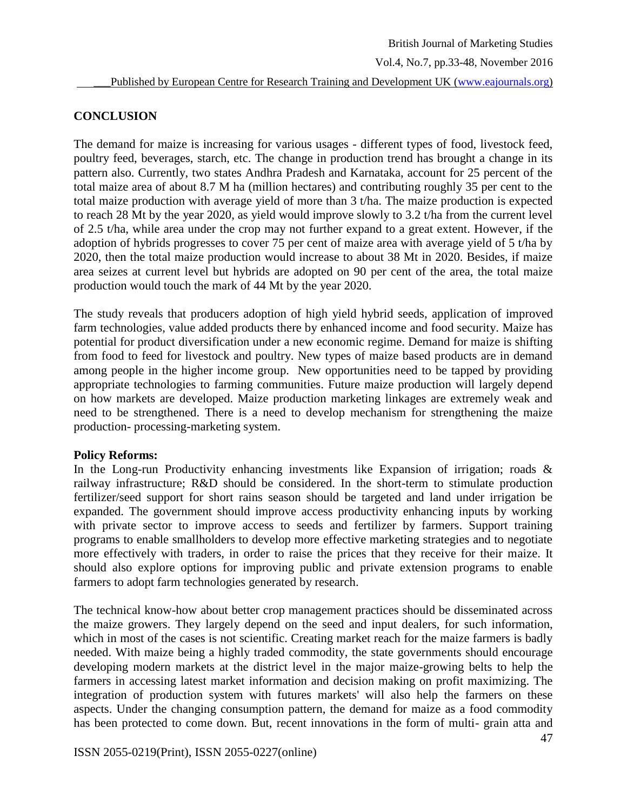# **CONCLUSION**

The demand for maize is increasing for various usages - different types of food, livestock feed, poultry feed, beverages, starch, etc. The change in production trend has brought a change in its pattern also. Currently, two states Andhra Pradesh and Karnataka, account for 25 percent of the total maize area of about 8.7 M ha (million hectares) and contributing roughly 35 per cent to the total maize production with average yield of more than 3 t/ha. The maize production is expected to reach 28 Mt by the year 2020, as yield would improve slowly to 3.2 t/ha from the current level of 2.5 t/ha, while area under the crop may not further expand to a great extent. However, if the adoption of hybrids progresses to cover 75 per cent of maize area with average yield of 5 t/ha by 2020, then the total maize production would increase to about 38 Mt in 2020. Besides, if maize area seizes at current level but hybrids are adopted on 90 per cent of the area, the total maize production would touch the mark of 44 Mt by the year 2020.

The study reveals that producers adoption of high yield hybrid seeds, application of improved farm technologies, value added products there by enhanced income and food security. Maize has potential for product diversification under a new economic regime. Demand for maize is shifting from food to feed for livestock and poultry. New types of maize based products are in demand among people in the higher income group. New opportunities need to be tapped by providing appropriate technologies to farming communities. Future maize production will largely depend on how markets are developed. Maize production marketing linkages are extremely weak and need to be strengthened. There is a need to develop mechanism for strengthening the maize production- processing-marketing system.

#### **Policy Reforms:**

In the Long-run Productivity enhancing investments like Expansion of irrigation; roads  $\&$ railway infrastructure; R&D should be considered. In the short-term to stimulate production fertilizer/seed support for short rains season should be targeted and land under irrigation be expanded. The government should improve access productivity enhancing inputs by working with private sector to improve access to seeds and fertilizer by farmers. Support training programs to enable smallholders to develop more effective marketing strategies and to negotiate more effectively with traders, in order to raise the prices that they receive for their maize. It should also explore options for improving public and private extension programs to enable farmers to adopt farm technologies generated by research.

The technical know-how about better crop management practices should be disseminated across the maize growers. They largely depend on the seed and input dealers, for such information, which in most of the cases is not scientific. Creating market reach for the maize farmers is badly needed. With maize being a highly traded commodity, the state governments should encourage developing modern markets at the district level in the major maize-growing belts to help the farmers in accessing latest market information and decision making on profit maximizing. The integration of production system with futures markets' will also help the farmers on these aspects. Under the changing consumption pattern, the demand for maize as a food commodity has been protected to come down. But, recent innovations in the form of multi- grain atta and